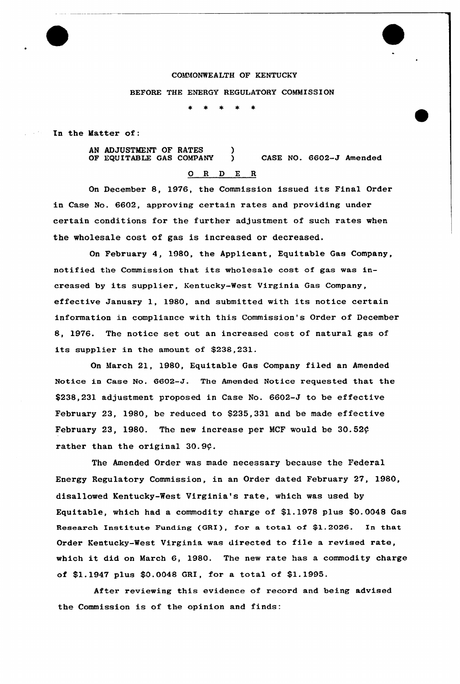## COMMONWEALTH OF KENTUCKY

## BEFORE THE ENERGY REGULATORY COMMISSION

 $\bigstar$ 

In the Matter of:

AN ADJUSTMENT OF RATES (1997)<br>OF EQUITABLE GAS COMPANY OF EQUITABLE GAS COMPANY ) CASE NO. 6602-J Amended 0 R <sup>D</sup> E R

On December 8, 1976, the Commission issued its Final Order in Case No. 6602, approving certain rates and providing under certain conditions for the further adjustment of such rates when the wholesale cost of gas is increased or decreased.

On February 4, 1980, the Applicant, Equitable Gas Company, notified the Commission that its wholesale cost of gas was increased by its supplier, Kentucky-West Virginia Gas Company, effective January 1, 1980, and submitted with its notice certain information in compliance with this Commission's Order of December 8, 1976. The notice set out an increased cost of natural gas of its supplier in the amount of \$238,231.

On March 21, 1980, Equitable Gas Company filed an Amended Notice in Case No. 6602-J. The Amended Notice requested that the \$238,231 adjustment proposed in Case No. 6602-J to be effective February 23, 1980, be reduced to \$235,331 and be made effective February 23, 1980. The new increase per MCF would be  $30.52\zeta$ rather than the original 30.9¢.

The Amended Order was made necessary because the Federal Energy Regulatory Commission, in an Oxder dated Februaxy 27, 1980, disallowed Kentucky-West Virginia's rate, which was used by Equitable, which had a commodity charge of \$1.1978 plus \$0.0048 Gas Research Institute Funding (GRI), for a total of \$1.2026. In that Oxder Kentucky-Vest Virginia was directed to file a revised rate, which it did on March 6, 1980. The new rate has <sup>a</sup> commodity charge of \$1.1947 plus \$0.0048 GRI, for a total of \$1.1995.

After reviewing this evidence of record and being advised the Commission is of the opinion and finds: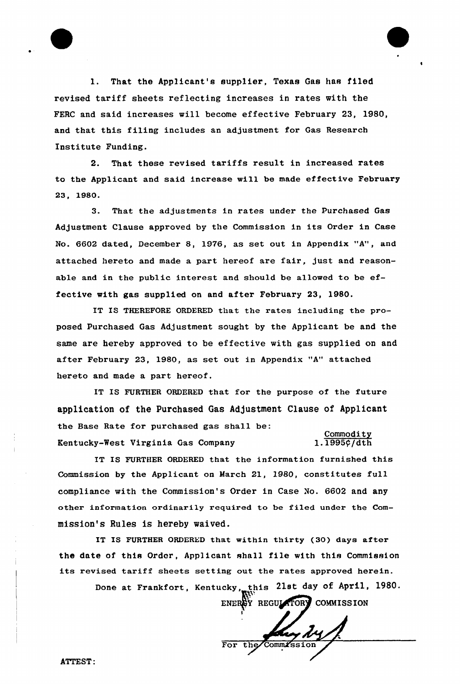

1. That the App)icant's supplier, Texas Gas has filed revised tariff sheets reflecting increases in rates with the FERC and said increases vill become effective February 23, 1980, and that this filing includes an adjustment for Gas Research Institute Funding.

2. That these revised tariffs result in increased rates to the Applicant and said increase will be made effective February 23, 1980.

3. That the adjustments in rates under the Purchased Gas Adjustment Clause approved by the Commission in its Order in Case No. 6602 dated, December 8, 1976, as set out in Appendix "A", and attached hereto and made a part hereof are fair, just and reasonable and in the public interest and should be allowed to be effective with gas supplied on and after February 23, 1980.

IT IS THEREFORE ORDERED that the rates including the proposed Purchased Gas Adjustment sought by the Applicant be and the same are hereby approved to be effective with gas supplied on and after February 23, 1980, as set out in Appendix "A" attached hereto and made a part hereof.

IT IS FURTHER ORDERED that for the purpose of the future application of the Purchased Gas Adjustment Clause of Applicant the Base Rate for purchased gas shall be: Kentucky-%est Virginia Gas Company <u>Commodit</u>  $1.\overline{1995}$  $\overline{6}/\overline{dt}$ 

IT IS FURTHER ORDERED that the information furnished this Commission by the Applicant on March 21, 1980, constitutes full compliance with the Commission's Order in Case No. 6602 and any other information ordinarily required to be filed under the Commission's Rules is hereby waived.

IT IS FURTHER ORDERED that within thirty (30) days after the date of this Order, Applicant shall file with this Commission its revised tariff sheets setting out the rates approved herein.

> Done at Frankfort, Kentucky, this 21st day of April, 1980. ENERSY REGULATORY COMMISSION

t For the Commission

ATTEST: